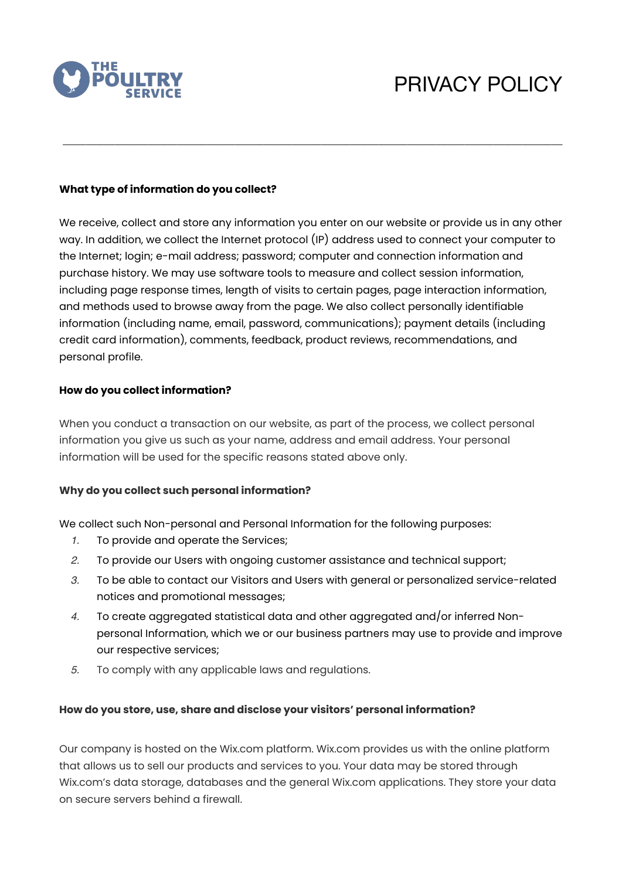

# PRIVACY POLICY

## **What type of information do you collect?**

We receive, collect and store any information you enter on our website or provide us in any other way. In addition, we collect the Internet protocol (IP) address used to connect your computer to the Internet; login; e-mail address; password; computer and connection information and purchase history. We may use software tools to measure and collect session information, including page response times, length of visits to certain pages, page interaction information, and methods used to browse away from the page. We also collect personally identifiable information (including name, email, password, communications); payment details (including credit card information), comments, feedback, product reviews, recommendations, and personal profile.

\_\_\_\_\_\_\_\_\_\_\_\_\_\_\_\_\_\_\_\_\_\_\_\_\_\_\_\_\_\_\_\_\_\_\_\_\_\_\_\_\_\_\_\_\_\_\_\_\_\_\_\_\_\_\_\_\_\_\_\_\_\_\_\_\_\_\_\_\_\_\_\_\_\_\_\_\_\_\_\_\_\_\_\_\_\_\_

### **How do you collect information?**

When you conduct a transaction on our website, as part of the process, we collect personal information you give us such as your name, address and email address. Your personal information will be used for the specific reasons stated above only.

## **Why do you collect such personal information?**

We collect such Non-personal and Personal Information for the following purposes:

- *1.* To provide and operate the Services;
- *2.* To provide our Users with ongoing customer assistance and technical support;
- *3.* To be able to contact our Visitors and Users with general or personalized service-related notices and promotional messages;
- *4.* To create aggregated statistical data and other aggregated and/or inferred Nonpersonal Information, which we or our business partners may use to provide and improve our respective services;
- *5.* To comply with any applicable laws and regulations.

#### **How do you store, use, share and disclose your visitors' personal information?**

Our company is hosted on the Wix.com platform. Wix.com provides us with the online platform that allows us to sell our products and services to you. Your data may be stored through Wix.com's data storage, databases and the general Wix.com applications. They store your data on secure servers behind a firewall.